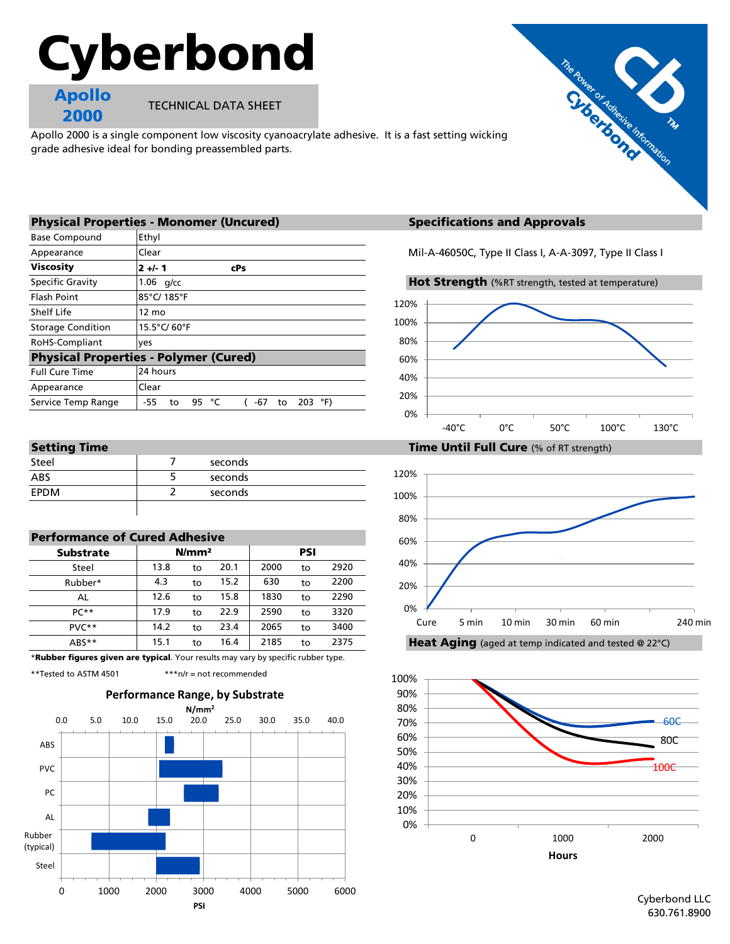# Cyberbond



TECHNICAL DATA SHEET

Apollo 2000 is a single component low viscosity cyanoacrylate adhesive. It is a fast setting wicking grade adhesive ideal for bonding preassembled parts.



|                          | <b>Physical Properties - Monomer (Uncured)</b>              | <b>Specifications and Approvals</b>                  |  |  |  |
|--------------------------|-------------------------------------------------------------|------------------------------------------------------|--|--|--|
| <b>Base Compound</b>     | Ethyl                                                       |                                                      |  |  |  |
| Appearance               | Clear                                                       | Mil-A-46050C, Type II Class I, A-A-3097, Type II Cla |  |  |  |
| <b>Viscosity</b>         | $2 +/- 1$<br>cPs                                            |                                                      |  |  |  |
| <b>Specific Gravity</b>  | $1.06$ g/cc                                                 | Hot Strength (%RT strength, tested at temperatur     |  |  |  |
| <b>Flash Point</b>       | 85°C/185°F                                                  | 120%                                                 |  |  |  |
| Shelf Life               | $12 \text{ mo}$                                             |                                                      |  |  |  |
| <b>Storage Condition</b> | 15.5°C/60°F                                                 | 100%                                                 |  |  |  |
| RoHS-Compliant           | ves                                                         | 80%                                                  |  |  |  |
|                          | <b>Physical Properties - Polymer (Cured)</b>                | 60%                                                  |  |  |  |
| <b>Full Cure Time</b>    | 24 hours                                                    | 40%                                                  |  |  |  |
| Appearance               | Clear                                                       |                                                      |  |  |  |
| Service Temp Range       | 203 $^{\circ}$ F)<br>$-55$<br>95<br>$-67$<br>°⊂<br>to<br>to | 20%                                                  |  |  |  |
|                          |                                                             | $\sim$                                               |  |  |  |

| ________<br>_______ |         |
|---------------------|---------|
| Steel               | seconds |
| ABS                 | seconds |
| <b>EPDM</b>         | seconds |
|                     |         |

| <b>Performance of Cured Adhesive</b> |                   |    |      |      |    |      |  |  |  |
|--------------------------------------|-------------------|----|------|------|----|------|--|--|--|
| <b>Substrate</b>                     | N/mm <sup>2</sup> |    | PSI  |      |    |      |  |  |  |
| Steel                                | 13.8              | to | 20.1 | 2000 | to | 2920 |  |  |  |
| Rubber*                              | 4.3               | to | 15.2 | 630  | to | 2200 |  |  |  |
| AL                                   | 12.6              | to | 15.8 | 1830 | to | 2290 |  |  |  |
| $PC**$                               | 17.9              | to | 22.9 | 2590 | to | 3320 |  |  |  |
| $PVC**$                              | 14.2              | to | 23.4 | 2065 | to | 3400 |  |  |  |
| ABS**                                | 15.1              | to | 16.4 | 2185 | to | 2375 |  |  |  |

\*Rubber figures given are typical. Your results may vary by specific rubber type.

\*\*Tested to ASTM 4501 \*\*\*n/r = not recommended



# **Specifications and Approvals**

Mil-A-46050C, Type II Class I, A-A-3097, Type II Class I